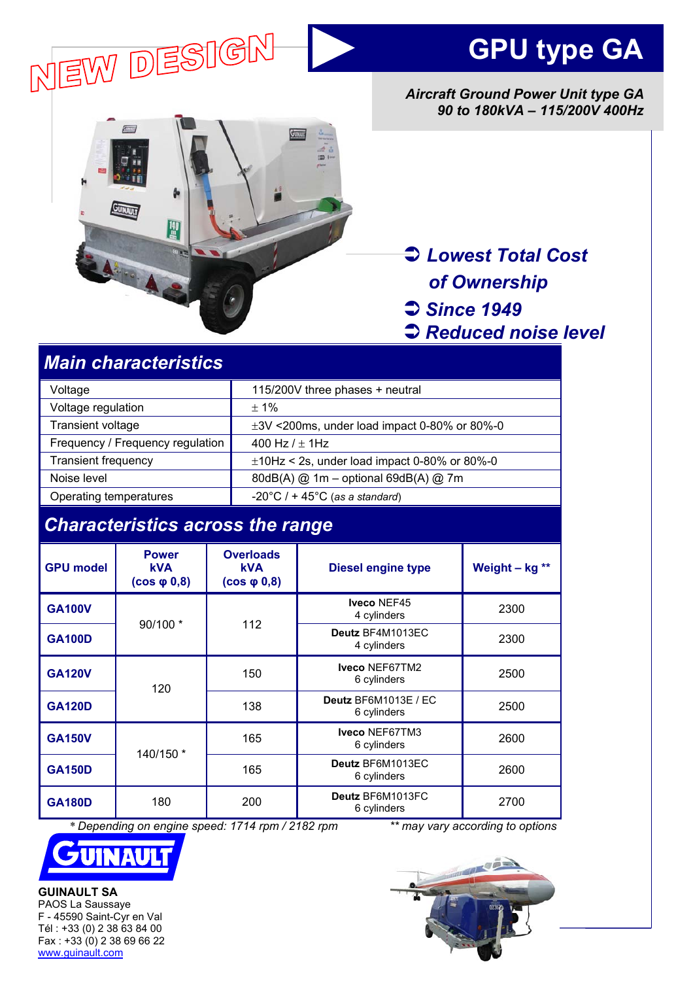



*Aircraft Ground Power Unit type GA 90 to 180kVA – 115/200V 400Hz* 



Â *Lowest Total Cost of Ownership*  Â *Since 1949* 

Â *Reduced noise level* 

# *Main characteristics*

| Voltage                          | 115/200V three phases + neutral                     |  |
|----------------------------------|-----------------------------------------------------|--|
| Voltage regulation               | $+1\%$                                              |  |
| Transient voltage                | $\pm 3V$ <200ms, under load impact 0-80% or 80%-0   |  |
| Frequency / Frequency regulation | 400 Hz $/$ $\pm$ 1Hz                                |  |
| <b>Transient frequency</b>       | $\pm$ 10Hz < 2s, under load impact 0-80% or 80%-0   |  |
| Noise level                      | 80dB(A) @ 1m - optional 69dB(A) @ 7m                |  |
| Operating temperatures           | $-20^{\circ}$ C / + 45 $^{\circ}$ C (as a standard) |  |

# *Characteristics across the range*

| <b>GPU model</b> | <b>Power</b><br><b>kVA</b><br>$(cos \phi 0, 8)$ | <b>Overloads</b><br><b>kVA</b><br>$(cos \phi 0, 8)$ | <b>Diesel engine type</b>           | Weight $-$ kg ** |
|------------------|-------------------------------------------------|-----------------------------------------------------|-------------------------------------|------------------|
| <b>GA100V</b>    | 90/100 *                                        | 112                                                 | Iveco NEF45<br>4 cylinders          | 2300             |
| <b>GA100D</b>    |                                                 |                                                     | Deutz BF4M1013EC<br>4 cylinders     | 2300             |
| <b>GA120V</b>    | 120                                             | 150                                                 | Iveco NEF67TM2<br>6 cylinders       | 2500             |
| <b>GA120D</b>    |                                                 | 138                                                 | Deutz BF6M1013E / EC<br>6 cylinders | 2500             |
| <b>GA150V</b>    | 140/150 *                                       | 165                                                 | Iveco NEF67TM3<br>6 cylinders       | 2600             |
| <b>GA150D</b>    |                                                 | 165                                                 | Deutz BF6M1013EC<br>6 cylinders     | 2600             |
| <b>GA180D</b>    | 180                                             | 200                                                 | Deutz BF6M1013FC<br>6 cylinders     | 2700             |

 *\* Depending on engine speed: 1714 rpm / 2182 rpm \*\* may vary according to options*



**GUINAULT SA**  PAOS La Saussaye F - 45590 Saint-Cyr en Val Tél : +33 (0) 2 38 63 84 00 Fax : +33 (0) 2 38 69 66 22 www.guinault.com